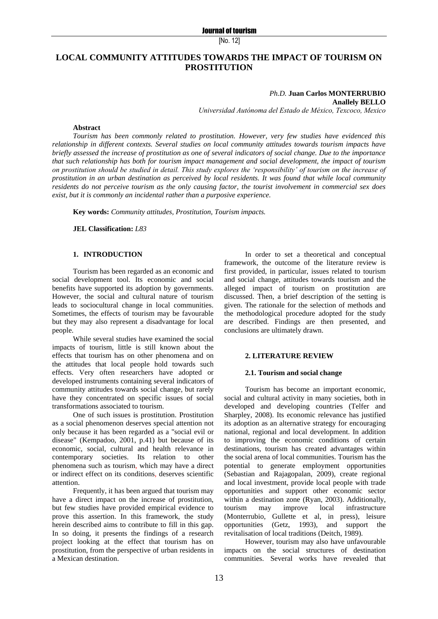# **LOCAL COMMUNITY ATTITUDES TOWARDS THE IMPACT OF TOURISM ON PROSTITUTION**

# *Ph.D.* **Juan Carlos MONTERRUBIO**

**Anallely BELLO**

*Universidad Autónoma del Estado de México, Texcoco, Mexico*

## **Abstract**

*Tourism has been commonly related to prostitution. However, very few studies have evidenced this relationship in different contexts. Several studies on local community attitudes towards tourism impacts have briefly assessed the increase of prostitution as one of several indicators of social change. Due to the importance that such relationship has both for tourism impact management and social development, the impact of tourism on prostitution should be studied in detail. This study explores the 'responsibility' of tourism on the increase of prostitution in an urban destination as perceived by local residents. It was found that while local community residents do not perceive tourism as the only causing factor, the tourist involvement in commercial sex does exist, but it is commonly an incidental rather than a purposive experience.*

**Key words:** *Community attitudes, Prostitution, Tourism impacts.*

**JEL Classification:** *L83*

# **1. INTRODUCTION**

Tourism has been regarded as an economic and social development tool. Its economic and social benefits have supported its adoption by governments. However, the social and cultural nature of tourism leads to sociocultural change in local communities. Sometimes, the effects of tourism may be favourable but they may also represent a disadvantage for local people.

While several studies have examined the social impacts of tourism, little is still known about the effects that tourism has on other phenomena and on the attitudes that local people hold towards such effects. Very often researchers have adopted or developed instruments containing several indicators of community attitudes towards social change, but rarely have they concentrated on specific issues of social transformations associated to tourism.

One of such issues is prostitution. Prostitution as a social phenomenon deserves special attention not only because it has been regarded as a "social evil or disease" (Kempadoo, 2001, p.41) but because of its economic, social, cultural and health relevance in contemporary societies. Its relation to other phenomena such as tourism, which may have a direct or indirect effect on its conditions, deserves scientific attention.

Frequently, it has been argued that tourism may have a direct impact on the increase of prostitution, but few studies have provided empirical evidence to prove this assertion. In this framework, the study herein described aims to contribute to fill in this gap. In so doing, it presents the findings of a research project looking at the effect that tourism has on prostitution, from the perspective of urban residents in a Mexican destination.

In order to set a theoretical and conceptual framework, the outcome of the literature review is first provided, in particular, issues related to tourism and social change, attitudes towards tourism and the alleged impact of tourism on prostitution are discussed. Then, a brief description of the setting is given. The rationale for the selection of methods and the methodological procedure adopted for the study are described. Findings are then presented, and conclusions are ultimately drawn.

#### **2. LITERATURE REVIEW**

#### **2.1. Tourism and social change**

Tourism has become an important economic, social and cultural activity in many societies, both in developed and developing countries (Telfer and Sharpley, 2008). Its economic relevance has justified its adoption as an alternative strategy for encouraging national, regional and local development. In addition to improving the economic conditions of certain destinations, tourism has created advantages within the social arena of local communities. Tourism has the potential to generate employment opportunities (Sebastian and Rajagopalan, 2009), create regional and local investment, provide local people with trade opportunities and support other economic sector within a destination zone (Ryan, 2003). Additionally, tourism may improve local infrastructure (Monterrubio, Gullette et al, in press), leisure opportunities (Getz, 1993), and support the revitalisation of local traditions (Deitch, 1989).

However, tourism may also have unfavourable impacts on the social structures of destination communities. Several works have revealed that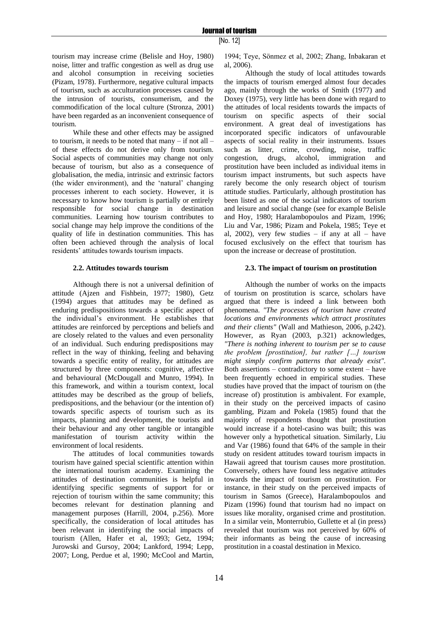tourism may increase crime (Belisle and Hoy, 1980) noise, litter and traffic congestion as well as drug use and alcohol consumption in receiving societies (Pizam, 1978). Furthermore, negative cultural impacts of tourism, such as acculturation processes caused by the intrusion of tourists, consumerism, and the commodification of the local culture (Stronza, 2001) have been regarded as an inconvenient consequence of tourism.

While these and other effects may be assigned to tourism, it needs to be noted that many – if not all – of these effects do not derive only from tourism. Social aspects of communities may change not only because of tourism, but also as a consequence of globalisation, the media, intrinsic and extrinsic factors (the wider environment), and the 'natural' changing processes inherent to each society. However, it is necessary to know how tourism is partially or entirely responsible for social change in destination communities. Learning how tourism contributes to social change may help improve the conditions of the quality of life in destination communities. This has often been achieved through the analysis of local residents" attitudes towards tourism impacts.

## **2.2. Attitudes towards tourism**

Although there is not a universal definition of attitude (Ajzen and Fishbein, 1977; 1980), Getz (1994) argues that attitudes may be defined as enduring predispositions towards a specific aspect of the individual"s environment. He establishes that attitudes are reinforced by perceptions and beliefs and are closely related to the values and even personality of an individual. Such enduring predispositions may reflect in the way of thinking, feeling and behaving towards a specific entity of reality, for attitudes are structured by three components: cognitive, affective and behavioural (McDougall and Munro, 1994). In this framework, and within a tourism context, local attitudes may be described as the group of beliefs, predispositions, and the behaviour (or the intention of) towards specific aspects of tourism such as its impacts, planning and development, the tourists and their behaviour and any other tangible or intangible manifestation of tourism activity within the environment of local residents.

The attitudes of local communities towards tourism have gained special scientific attention within the international tourism academy. Examining the attitudes of destination communities is helpful in identifying specific segments of support for or rejection of tourism within the same community; this becomes relevant for destination planning and management purposes (Harrill, 2004, p.256). More specifically, the consideration of local attitudes has been relevant in identifying the social impacts of tourism (Allen, Hafer et al, 1993; Getz, 1994; Jurowski and Gursoy, 2004; Lankford, 1994; Lepp, 2007; Long, Perdue et al, 1990; McCool and Martin,

1994; Teye, Sönmez et al, 2002; Zhang, Inbakaran et al, 2006).

Although the study of local attitudes towards the impacts of tourism emerged almost four decades ago, mainly through the works of Smith (1977) and Doxey (1975), very little has been done with regard to the attitudes of local residents towards the impacts of tourism on specific aspects of their social environment. A great deal of investigations has incorporated specific indicators of unfavourable aspects of social reality in their instruments. Issues such as litter, crime, crowding, noise, traffic congestion, drugs, alcohol, immigration and prostitution have been included as individual items in tourism impact instruments, but such aspects have rarely become the only research object of tourism attitude studies. Particularly, although prostitution has been listed as one of the social indicators of tourism and leisure and social change (see for example Belisle and Hoy, 1980; Haralambopoulos and Pizam, 1996; Liu and Var, 1986; Pizam and Pokela, 1985; Teye et al,  $2002$ ), very few studies – if any at all – have focused exclusively on the effect that tourism has upon the increase or decrease of prostitution.

## **2.3. The impact of tourism on prostitution**

Although the number of works on the impacts of tourism on prostitution is scarce, scholars have argued that there is indeed a link between both phenomena. *"The processes of tourism have created locations and environments which attract prostitutes and their clients"* (Wall and Mathieson, 2006, p.242). However, as Ryan (2003, p.321) acknowledges, *"There is nothing inherent to tourism per se to cause the problem [prostitution], but rather […] tourism might simply confirm patterns that already exist".* Both assertions – contradictory to some extent – have been frequently echoed in empirical studies. These studies have proved that the impact of tourism on (the increase of) prostitution is ambivalent. For example, in their study on the perceived impacts of casino gambling, Pizam and Pokela (1985) found that the majority of respondents thought that prostitution would increase if a hotel-casino was built; this was however only a hypothetical situation. Similarly, Liu and Var (1986) found that 64% of the sample in their study on resident attitudes toward tourism impacts in Hawaii agreed that tourism causes more prostitution. Conversely, others have found less negative attitudes towards the impact of tourism on prostitution. For instance, in their study on the perceived impacts of tourism in Samos (Greece), Haralambopoulos and Pizam (1996) found that tourism had no impact on issues like morality, organised crime and prostitution. In a similar vein, Monterrubio, Gullette et al (in press) revealed that tourism was not perceived by 60% of their informants as being the cause of increasing prostitution in a coastal destination in Mexico.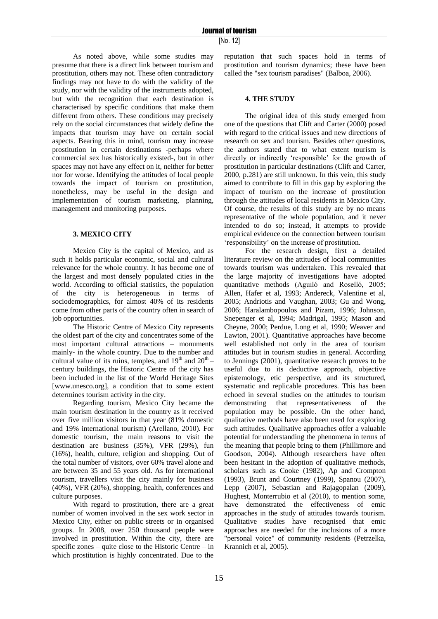As noted above, while some studies may presume that there is a direct link between tourism and prostitution, others may not. These often contradictory findings may not have to do with the validity of the study, nor with the validity of the instruments adopted, but with the recognition that each destination is characterised by specific conditions that make them different from others. These conditions may precisely rely on the social circumstances that widely define the impacts that tourism may have on certain social aspects. Bearing this in mind, tourism may increase prostitution in certain destinations -perhaps where commercial sex has historically existed-, but in other spaces may not have any effect on it, neither for better nor for worse. Identifying the attitudes of local people towards the impact of tourism on prostitution, nonetheless, may be useful in the design and implementation of tourism marketing, planning, management and monitoring purposes.

## **3. MEXICO CITY**

Mexico City is the capital of Mexico, and as such it holds particular economic, social and cultural relevance for the whole country. It has become one of the largest and most densely populated cities in the world. According to official statistics, the population of the city is heterogeneous in terms of sociodemographics, for almost 40% of its residents come from other parts of the country often in search of job opportunities.

The Historic Centre of Mexico City represents the oldest part of the city and concentrates some of the most important cultural attractions – monuments mainly- in the whole country. Due to the number and cultural value of its ruins, temples, and  $19<sup>th</sup>$  and  $20<sup>th</sup>$  – century buildings, the Historic Centre of the city has been included in the list of the World Heritage Sites [www.unesco.org], a condition that to some extent determines tourism activity in the city.

Regarding tourism, Mexico City became the main tourism destination in the country as it received over five million visitors in that year (81% domestic and 19% international tourism) (Arellano, 2010). For domestic tourism, the main reasons to visit the destination are business (35%), VFR (29%), fun (16%), health, culture, religion and shopping. Out of the total number of visitors, over 60% travel alone and are between 35 and 55 years old. As for international tourism, travellers visit the city mainly for business (40%), VFR (20%), shopping, health, conferences and culture purposes.

With regard to prostitution, there are a great number of women involved in the sex work sector in Mexico City, either on public streets or in organised groups. In 2008, over 250 thousand people were involved in prostitution. Within the city, there are specific zones – quite close to the Historic Centre – in which prostitution is highly concentrated. Due to the

reputation that such spaces hold in terms of prostitution and tourism dynamics; these have been called the "sex tourism paradises" (Balboa, 2006).

## **4. THE STUDY**

The original idea of this study emerged from one of the questions that Clift and Carter (2000) posed with regard to the critical issues and new directions of research on sex and tourism. Besides other questions, the authors stated that to what extent tourism is directly or indirectly "responsible" for the growth of prostitution in particular destinations (Clift and Carter, 2000, p.281) are still unknown. In this vein, this study aimed to contribute to fill in this gap by exploring the impact of tourism on the increase of prostitution through the attitudes of local residents in Mexico City. Of course, the results of this study are by no means representative of the whole population, and it never intended to do so; instead, it attempts to provide empirical evidence on the connection between tourism "responsibility" on the increase of prostitution.

For the research design, first a detailed literature review on the attitudes of local communities towards tourism was undertaken. This revealed that the large majority of investigations have adopted quantitative methods (Aguiló and Roselló, 2005; Allen, Hafer et al, 1993; Andereck, Valentine et al, 2005; Andriotis and Vaughan, 2003; Gu and Wong, 2006; Haralambopoulos and Pizam, 1996; Johnson, Snepenger et al, 1994; Madrigal, 1995; Mason and Cheyne, 2000; Perdue, Long et al, 1990; Weaver and Lawton, 2001). Quantitative approaches have become well established not only in the area of tourism attitudes but in tourism studies in general. According to Jennings (2001), quantitative research proves to be useful due to its deductive approach, objective epistemology, etic perspective, and its structured, systematic and replicable procedures. This has been echoed in several studies on the attitudes to tourism demonstrating that representativeness of the population may be possible. On the other hand, qualitative methods have also been used for exploring such attitudes. Qualitative approaches offer a valuable potential for understanding the phenomena in terms of the meaning that people bring to them (Phillimore and Goodson, 2004). Although researchers have often been hesitant in the adoption of qualitative methods, scholars such as Cooke (1982), Ap and Crompton (1993), Brunt and Courtney (1999), Spanou (2007), Lepp (2007), Sebastian and Rajagopalan (2009), Hughest, Monterrubio et al (2010), to mention some, have demonstrated the effectiveness of emic approaches in the study of attitudes towards tourism. Qualitative studies have recognised that emic approaches are needed for the inclusions of a more "personal voice" of community residents (Petrzelka, Krannich et al, 2005).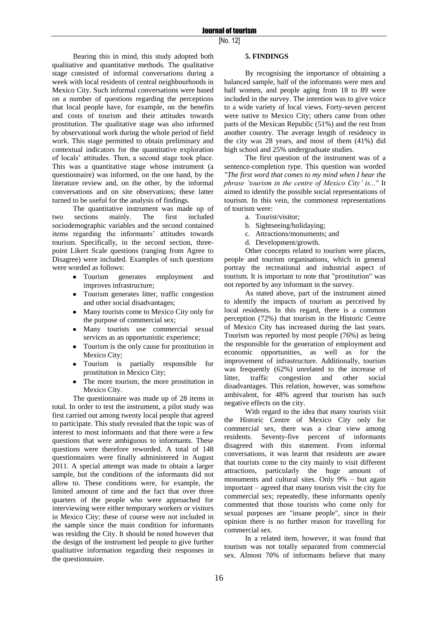Bearing this in mind, this study adopted both qualitative and quantitative methods. The qualitative stage consisted of informal conversations during a week with local residents of central neighbourhoods in Mexico City. Such informal conversations were based on a number of questions regarding the perceptions that local people have, for example, on the benefits and costs of tourism and their attitudes towards prostitution. The qualitative stage was also informed by observational work during the whole period of field work. This stage permitted to obtain preliminary and contextual indicators for the quantitative exploration of locals" attitudes. Then, a second stage took place. This was a quantitative stage whose instrument (a questionnaire) was informed, on the one hand, by the literature review and, on the other, by the informal conversations and on site observations; these latter turned to be useful for the analysis of findings.

The quantitative instrument was made up of two sections mainly. The first included sociodemographic variables and the second contained items regarding the informants' attitudes towards tourism. Specifically, in the second section, threepoint Likert Scale questions (ranging from Agree to Disagree) were included. Examples of such questions were worded as follows:

- Tourism generates employment and improves infrastructure;
- Tourism generates litter, traffic congestion and other social disadvantages;
- Many tourists come to Mexico City only for the purpose of commercial sex;
- Many tourists use commercial sexual services as an opportunistic experience;
- Tourism is the only cause for prostitution in Mexico City;
- Tourism is partially responsible for prostitution in Mexico City;
- The more tourism, the more prostitution in Mexico City.

The questionnaire was made up of 28 items in total. In order to test the instrument, a pilot study was first carried out among twenty local people that agreed to participate. This study revealed that the topic was of interest to most informants and that there were a few questions that were ambiguous to informants. These questions were therefore reworded. A total of 148 questionnaires were finally administered in August 2011. A special attempt was made to obtain a larger sample, but the conditions of the informants did not allow to. These conditions were, for example, the limited amount of time and the fact that over three quarters of the people who were approached for interviewing were either temporary workers or visitors in Mexico City; these of course were not included in the sample since the main condition for informants was residing the City. It should be noted however that the design of the instrument led people to give further qualitative information regarding their responses in the questionnaire.

## **5. FINDINGS**

By recognising the importance of obtaining a balanced sample, half of the informants were men and half women, and people aging from 18 to 89 were included in the survey. The intention was to give voice to a wide variety of local views. Forty-seven percent were native to Mexico City; others came from other parts of the Mexican Republic (51%) and the rest from another country. The average length of residency in the city was 28 years, and most of them (41%) did high school and 25% undergraduate studies.

The first question of the instrument was of a sentence-completion type. This question was worded *"The first word that comes to my mind when I hear the phrase 'tourism in the centre of Mexico City' is..."* It aimed to identify the possible social representations of tourism. In this vein, the commonest representations of tourism were:

- a. Tourist/visitor;
- b. Sightseeing/holidaying;
- c. Attractions/monuments; and
- d. Development/growth.

Other concepts related to tourism were places, people and tourism organisations, which in general portray the recreational and industrial aspect of tourism. It is important to note that "prostitution" was not reported by any informant in the survey.

As stated above, part of the instrument aimed to identify the impacts of tourism as perceived by local residents. In this regard, there is a common perception (72%) that tourism in the Historic Centre of Mexico City has increased during the last years. Tourism was reported by most people (76%) as being the responsible for the generation of employment and economic opportunities, as well as for the improvement of infrastructure. Additionally, tourism was frequently (62%) unrelated to the increase of litter, traffic congestion and other social disadvantages. This relation, however, was somehow ambivalent, for 48% agreed that tourism has such negative effects on the city.

With regard to the idea that many tourists visit the Historic Centre of Mexico City only for commercial sex, there was a clear view among residents. Seventy-five percent of informants disagreed with this statement. From informal conversations, it was learnt that residents are aware that tourists come to the city mainly to visit different attractions, particularly the huge amount of monuments and cultural sites. Only 9% – but again important – agreed that many tourists visit the city for commercial sex; repeatedly, these informants openly commented that those tourists who come only for sexual purposes are "insane people", since in their opinion there is no further reason for travelling for commercial sex.

In a related item, however, it was found that tourism was not totally separated from commercial sex. Almost 70% of informants believe that many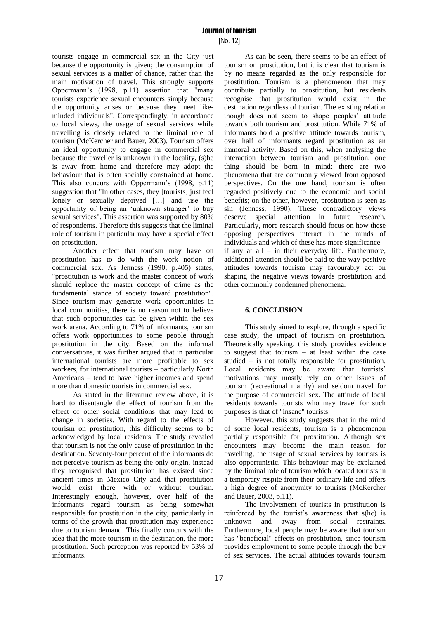tourists engage in commercial sex in the City just because the opportunity is given; the consumption of sexual services is a matter of chance, rather than the main motivation of travel. This strongly supports Oppermann"s (1998, p.11) assertion that "many tourists experience sexual encounters simply because the opportunity arises or because they meet likeminded individuals". Correspondingly, in accordance to local views, the usage of sexual services while travelling is closely related to the liminal role of tourism (McKercher and Bauer, 2003). Tourism offers an ideal opportunity to engage in commercial sex because the traveller is unknown in the locality, (s)he is away from home and therefore may adopt the behaviour that is often socially constrained at home. This also concurs with Oppermann's (1998, p.11) suggestion that "In other cases, they [tourists] just feel lonely or sexually deprived […] and use the opportunity of being an "unknown stranger" to buy sexual services". This assertion was supported by 80% of respondents. Therefore this suggests that the liminal role of tourism in particular may have a special effect on prostitution.

Another effect that tourism may have on prostitution has to do with the work notion of commercial sex. As Jenness (1990, p.405) states, "prostitution is work and the master concept of work should replace the master concept of crime as the fundamental stance of society toward prostitution". Since tourism may generate work opportunities in local communities, there is no reason not to believe that such opportunities can be given within the sex work arena. According to 71% of informants, tourism offers work opportunities to some people through prostitution in the city. Based on the informal conversations, it was further argued that in particular international tourists are more profitable to sex workers, for international tourists – particularly North Americans – tend to have higher incomes and spend more than domestic tourists in commercial sex.

As stated in the literature review above, it is hard to disentangle the effect of tourism from the effect of other social conditions that may lead to change in societies. With regard to the effects of tourism on prostitution, this difficulty seems to be acknowledged by local residents. The study revealed that tourism is not the only cause of prostitution in the destination. Seventy-four percent of the informants do not perceive tourism as being the only origin, instead they recognised that prostitution has existed since ancient times in Mexico City and that prostitution would exist there with or without tourism. Interestingly enough, however, over half of the informants regard tourism as being somewhat responsible for prostitution in the city, particularly in terms of the growth that prostitution may experience due to tourism demand. This finally concurs with the idea that the more tourism in the destination, the more prostitution. Such perception was reported by 53% of informants.

As can be seen, there seems to be an effect of tourism on prostitution, but it is clear that tourism is by no means regarded as the only responsible for prostitution. Tourism is a phenomenon that may contribute partially to prostitution, but residents recognise that prostitution would exist in the destination regardless of tourism. The existing relation though does not seem to shape peoples' attitude towards both tourism and prostitution. While 71% of informants hold a positive attitude towards tourism, over half of informants regard prostitution as an immoral activity. Based on this, when analysing the interaction between tourism and prostitution, one thing should be born in mind: there are two phenomena that are commonly viewed from opposed perspectives. On the one hand, tourism is often regarded positively due to the economic and social benefits; on the other, however, prostitution is seen as sin (Jenness, 1990). These contradictory views deserve special attention in future research. Particularly, more research should focus on how these opposing perspectives interact in the minds of individuals and which of these has more significance – if any at all – in their everyday life. Furthermore, additional attention should be paid to the way positive attitudes towards tourism may favourably act on shaping the negative views towards prostitution and other commonly condemned phenomena.

# **6. CONCLUSION**

This study aimed to explore, through a specific case study, the impact of tourism on prostitution. Theoretically speaking, this study provides evidence to suggest that tourism – at least within the case studied – is not totally responsible for prostitution. Local residents may be aware that tourists' motivations may mostly rely on other issues of tourism (recreational mainly) and seldom travel for the purpose of commercial sex. The attitude of local residents towards tourists who may travel for such purposes is that of "insane" tourists.

However, this study suggests that in the mind of some local residents, tourism is a phenomenon partially responsible for prostitution. Although sex encounters may become the main reason for travelling, the usage of sexual services by tourists is also opportunistic. This behaviour may be explained by the liminal role of tourism which located tourists in a temporary respite from their ordinary life and offers a high degree of anonymity to tourists (McKercher and Bauer, 2003, p.11).

The involvement of tourists in prostitution is reinforced by the tourist's awareness that s(he) is unknown and away from social restraints. Furthermore, local people may be aware that tourism has "beneficial" effects on prostitution, since tourism provides employment to some people through the buy of sex services. The actual attitudes towards tourism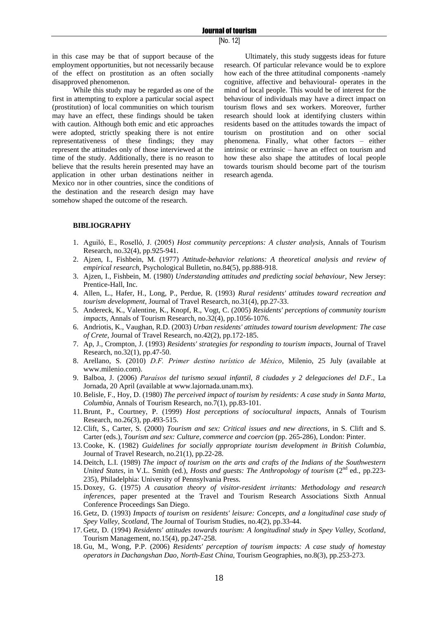in this case may be that of support because of the employment opportunities, but not necessarily because of the effect on prostitution as an often socially disapproved phenomenon.

While this study may be regarded as one of the first in attempting to explore a particular social aspect (prostitution) of local communities on which tourism may have an effect, these findings should be taken with caution. Although both emic and etic approaches were adopted, strictly speaking there is not entire representativeness of these findings; they may represent the attitudes only of those interviewed at the time of the study. Additionally, there is no reason to believe that the results herein presented may have an application in other urban destinations neither in Mexico nor in other countries, since the conditions of the destination and the research design may have somehow shaped the outcome of the research.

Ultimately, this study suggests ideas for future research. Of particular relevance would be to explore how each of the three attitudinal components -namely cognitive, affective and behavioural- operates in the mind of local people. This would be of interest for the behaviour of individuals may have a direct impact on tourism flows and sex workers. Moreover, further research should look at identifying clusters within residents based on the attitudes towards the impact of tourism on prostitution and on other social phenomena. Finally, what other factors – either intrinsic or extrinsic – have an effect on tourism and how these also shape the attitudes of local people towards tourism should become part of the tourism research agenda.

#### **BIBLIOGRAPHY**

- 1. Aguiló, E., Roselló, J. (2005) *Host community perceptions: A cluster analysis*, Annals of Tourism Research, no.32(4), pp.925-941.
- 2. Ajzen, I., Fishbein, M. (1977) *Attitude-behavior relations: A theoretical analysis and review of empirical research*, Psychological Bulletin, no.84(5), pp.888-918.
- 3. Ajzen, I., Fishbein, M. (1980) *Understanding attitudes and predicting social behaviour*, New Jersey: Prentice-Hall, Inc.
- 4. Allen, L., Hafer, H., Long, P., Perdue, R. (1993) *Rural residents' attitudes toward recreation and tourism development*, Journal of Travel Research, no.31(4), pp.27-33.
- 5. Andereck, K., Valentine, K., Knopf, R., Vogt, C. (2005) *Residents' perceptions of community tourism impacts*, Annals of Tourism Research, no.32(4), pp.1056-1076.
- 6. Andriotis, K., Vaughan, R.D. (2003) *Urban residents' attitudes toward tourism development: The case of Crete*, Journal of Travel Research, no.42(2), pp.172-185.
- 7. Ap, J., Crompton, J. (1993) *Residents' strategies for responding to tourism impacts*, Journal of Travel Research, no.32(1), pp.47-50.
- 8. Arellano, S. (2010) *D.F. Primer destino turístico de México*, Milenio, 25 July (available at www.milenio.com).
- 9. Balboa, J. (2006) *Paraísos del turismo sexual infantil, 8 ciudades y 2 delegaciones del D.F.*, La Jornada, 20 April (available at www.lajornada.unam.mx).
- 10.Belisle, F., Hoy, D. (1980) *The perceived impact of tourism by residents: A case study in Santa Marta, Columbia*, Annals of Tourism Research, no.7(1), pp.83-101.
- 11.Brunt, P., Courtney, P. (1999) *Host perceptions of sociocultural impacts*, Annals of Tourism Research, no.26(3), pp.493-515.
- 12.Clift, S., Carter, S. (2000) *Tourism and sex: Critical issues and new directions*, in S. Clift and S. Carter (eds.), *Tourism and sex: Culture, commerce and coercion* (pp. 265-286), London: Pinter.
- 13.Cooke, K. (1982) *Guidelines for socially appropriate tourism development in British Columbia*, Journal of Travel Research, no.21(1), pp.22-28.
- 14. Deitch, L.I. (1989) *The impact of tourism on the arts and crafts of the Indians of the Southwestern United States*, in V.L. Smith (ed.), *Hosts and guests: The Anthropology of tourism* (2<sup>nd</sup> ed., pp.223-235), Philadelphia: University of Pennsylvania Press.
- 15. Doxey, G. (1975) *A causation theory of visitor-resident irritants: Methodology and research inferences*, paper presented at the Travel and Tourism Research Associations Sixth Annual Conference Proceedings San Diego.
- 16. Getz, D. (1993) *Impacts of tourism on residents' leisure: Concepts, and a longitudinal case study of Spey Valley, Scotland*, The Journal of Tourism Studies, no.4(2), pp.33-44.
- 17. Getz, D. (1994) *Residents' attitudes towards tourism: A longitudinal study in Spey Valley, Scotland*, Tourism Management, no.15(4), pp.247-258.
- 18. Gu, M., Wong, P.P. (2006) *Residents' perception of tourism impacts: A case study of homestay operators in Dachangshan Dao, North-East China*, Tourism Geographies, no.8(3), pp.253-273.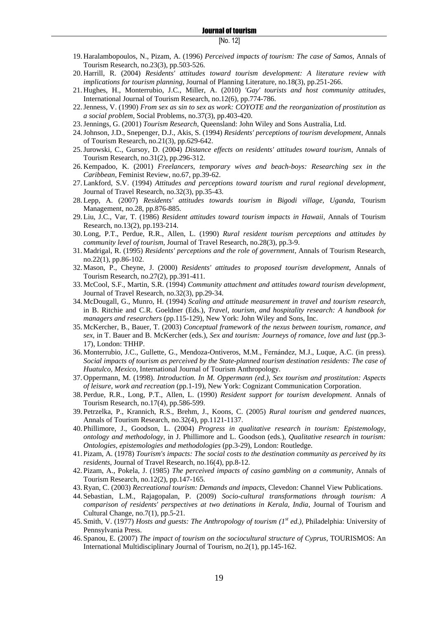- 19. Haralambopoulos, N., Pizam, A. (1996) *Perceived impacts of tourism: The case of Samos*, Annals of Tourism Research, no.23(3), pp.503-526.
- 20. Harrill, R. (2004) *Residents' attitudes toward tourism development: A literature review with implications for tourism planning*, Journal of Planning Literature, no.18(3), pp.251-266.
- 21. Hughes, H., Monterrubio, J.C., Miller, A. (2010) *'Gay' tourists and host community attitudes*, International Journal of Tourism Research, no.12(6), pp.774-786.
- 22.Jenness, V. (1990) *From sex as sin to sex as work: COYOTE and the reorganization of prostitution as a social problem*, Social Problems, no.37(3), pp.403-420.
- 23.Jennings, G. (2001) *Tourism Research*, Queensland: John Wiley and Sons Australia, Ltd.
- 24.Johnson, J.D., Snepenger, D.J., Akis, S. (1994) *Residents' perceptions of tourism development*, Annals of Tourism Research, no.21(3), pp.629-642.
- 25.Jurowski, C., Gursoy, D. (2004) *Distance effects on residents' attitudes toward tourism*, Annals of Tourism Research, no.31(2), pp.296-312.
- 26. Kempadoo, K. (2001) *Freelancers, temporary wives and beach-boys: Researching sex in the Caribbean*, Feminist Review, no.67, pp.39-62.
- 27. Lankford, S.V. (1994) *Attitudes and perceptions toward tourism and rural regional development*, Journal of Travel Research, no.32(3), pp.35-43.
- 28. Lepp, A. (2007) *Residents' attitudes towards tourism in Bigodi village, Uganda*, Tourism Management, no.28, pp.876-885.
- 29. Liu, J.C., Var, T. (1986) *Resident attitudes toward tourism impacts in Hawaii*, Annals of Tourism Research, no.13(2), pp.193-214.
- 30. Long, P.T., Perdue, R.R., Allen, L. (1990) *Rural resident tourism perceptions and attitudes by community level of tourism*, Journal of Travel Research, no.28(3), pp.3-9.
- 31. Madrigal, R. (1995) *Residents' perceptions and the role of government*, Annals of Tourism Research, no.22(1), pp.86-102.
- 32. Mason, P., Cheyne, J. (2000) *Residents' attitudes to proposed tourism development*, Annals of Tourism Research, no.27(2), pp.391-411.
- 33. McCool, S.F., Martin, S.R. (1994) *Community attachment and attitudes toward tourism development*, Journal of Travel Research, no.32(3), pp.29-34.
- 34. McDougall, G., Munro, H. (1994) *Scaling and attitude measurement in travel and tourism research*, in B. Ritchie and C.R. Goeldner (Eds.), *Travel, tourism, and hospitality research: A handbook for managers and researchers* (pp.115-129), New York: John Wiley and Sons, Inc.
- 35. McKercher, B., Bauer, T. (2003) *Conceptual framework of the nexus between tourism, romance, and sex*, in T. Bauer and B. McKercher (eds.), *Sex and tourism: Journeys of romance, love and lust* (pp.3- 17), London: THHP.
- 36. Monterrubio, J.C., Gullette, G., Mendoza-Ontiveros, M.M., Fernández, M.J., Luque, A.C. (in press). *Social impacts of tourism as perceived by the State-planned tourism destination residents: The case of Huatulco, Mexico*, International Journal of Tourism Anthropology.
- 37. Oppermann, M. (1998). *Introduction. In M. Oppermann (ed.), Sex tourism and prostitution: Aspects of leisure, work and recreation* (pp.1-19), New York: Cognizant Communication Corporation.
- 38. Perdue, R.R., Long, P.T., Allen, L. (1990) *Resident support for tourism development*. Annals of Tourism Research, no.17(4), pp.586-599.
- 39. Petrzelka, P., Krannich, R.S., Brehm, J., Koons, C. (2005) *Rural tourism and gendered nuances*, Annals of Tourism Research, no.32(4), pp.1121-1137.
- 40. Phillimore, J., Goodson, L. (2004) *Progress in qualitative research in tourism: Epistemology, ontology and methodology*, in J. Phillimore and L. Goodson (eds.), *Qualitative research in tourism: Ontologies, epistemologies and methodologies* (pp.3-29), London: Routledge.
- 41. Pizam, A. (1978) *Tourism's impacts: The social costs to the destination community as perceived by its residents*, Journal of Travel Research, no.16(4), pp.8-12.
- 42. Pizam, A., Pokela, J. (1985) *The perceived impacts of casino gambling on a community*, Annals of Tourism Research, no.12(2), pp.147-165.
- 43.Ryan, C. (2003) *Recreational tourism: Demands and impacts*, Clevedon: Channel View Publications.
- 44. Sebastian, L.M., Rajagopalan, P. (2009) *Socio-cultural transformations through tourism: A comparison of residents' perspectives at two detinations in Kerala, India*, Journal of Tourism and Cultural Change, no.7(1), pp.5-21.
- 45. Smith, V. (1977) *Hosts and guests: The Anthropology of tourism (1st ed.)*, Philadelphia: University of Pennsylvania Press.
- 46. Spanou, E. (2007) *The impact of tourism on the sociocultural structure of Cyprus*, TOURISMOS: An International Multidisciplinary Journal of Tourism, no.2(1), pp.145-162.